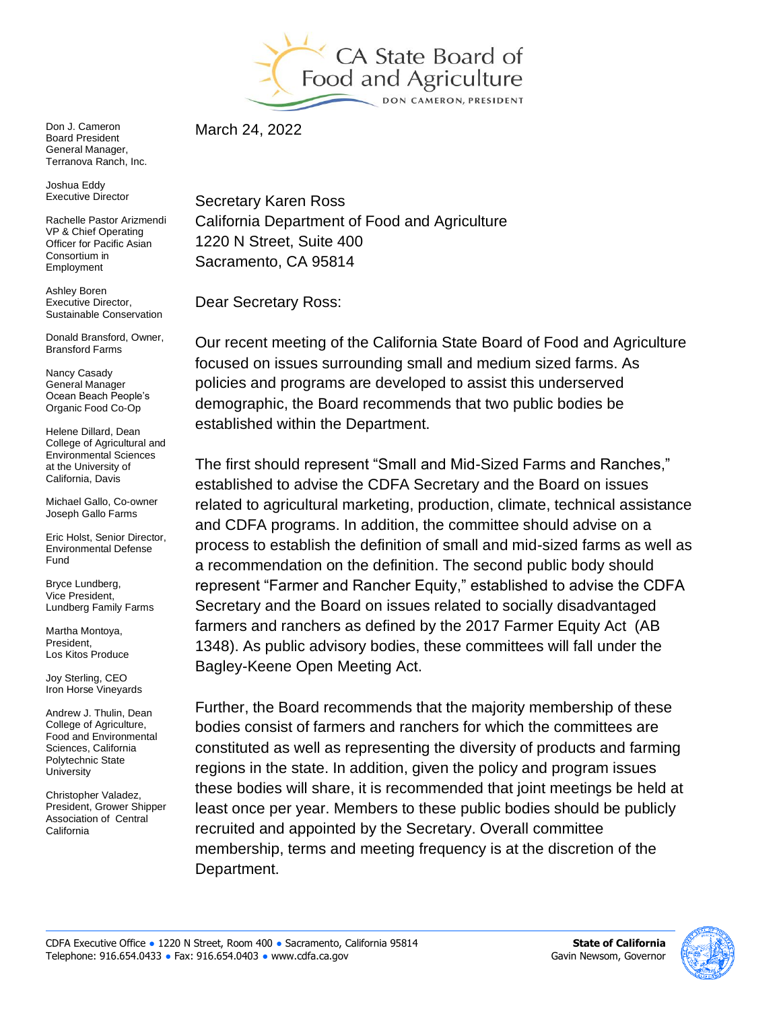

Don J. Cameron Board President General Manager, Terranova Ranch, Inc.

Joshua Eddy Executive Director

Rachelle Pastor Arizmendi VP & Chief Operating Officer for Pacific Asian Consortium in Employment

Ashley Boren Executive Director, Sustainable Conservation

Donald Bransford, Owner, Bransford Farms

Nancy Casady General Manager Ocean Beach People's Organic Food Co-Op

Helene Dillard, Dean College of Agricultural and Environmental Sciences at the University of California, Davis

Michael Gallo, Co-owner Joseph Gallo Farms

Eric Holst, Senior Director, Environmental Defense Fund

Bryce Lundberg, Vice President, Lundberg Family Farms

Martha Montoya, President, Los Kitos Produce

Joy Sterling, CEO Iron Horse Vineyards

Andrew J. Thulin, Dean College of Agriculture, Food and Environmental Sciences, California Polytechnic State **University** 

Christopher Valadez, President, Grower Shipper Association of Central California

March 24, 2022

Secretary Karen Ross California Department of Food and Agriculture 1220 N Street, Suite 400 Sacramento, CA 95814

Dear Secretary Ross:

Our recent meeting of the California State Board of Food and Agriculture focused on issues surrounding small and medium sized farms. As policies and programs are developed to assist this underserved demographic, the Board recommends that two public bodies be established within the Department.

The first should represent "Small and Mid-Sized Farms and Ranches," established to advise the CDFA Secretary and the Board on issues related to agricultural marketing, production, climate, technical assistance and CDFA programs. In addition, the committee should advise on a process to establish the definition of small and mid-sized farms as well as a recommendation on the definition. The second public body should represent "Farmer and Rancher Equity," established to advise the CDFA Secretary and the Board on issues related to socially disadvantaged farmers and ranchers as defined by the 2017 Farmer Equity Act (AB 1348). As public advisory bodies, these committees will fall under the Bagley-Keene Open Meeting Act.

Further, the Board recommends that the majority membership of these bodies consist of farmers and ranchers for which the committees are constituted as well as representing the diversity of products and farming regions in the state. In addition, given the policy and program issues these bodies will share, it is recommended that joint meetings be held at least once per year. Members to these public bodies should be publicly recruited and appointed by the Secretary. Overall committee membership, terms and meeting frequency is at the discretion of the Department.